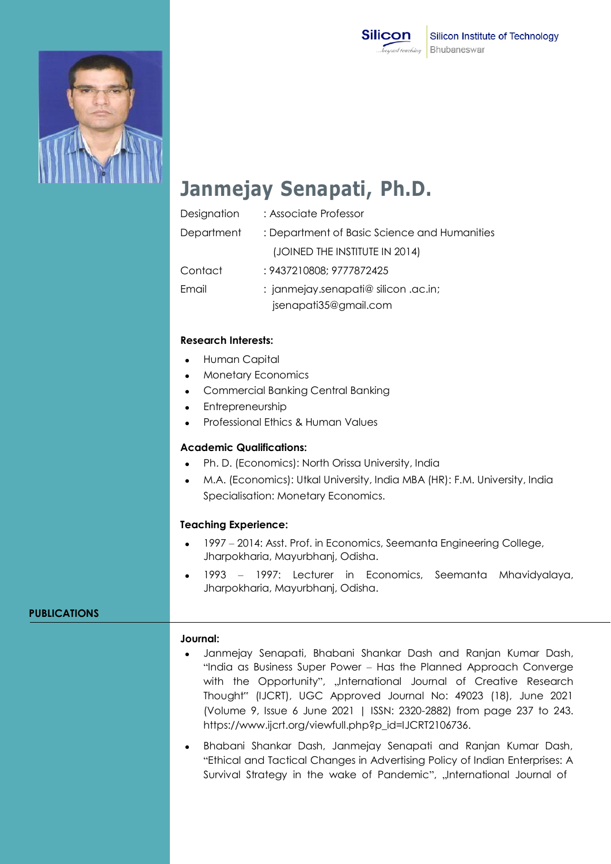



# **Janmejay Senapati, Ph.D.**

| Designation | : Associate Professor                        |
|-------------|----------------------------------------------|
| Department  | : Department of Basic Science and Humanities |
|             | (JOINED THE INSTITUTE IN 2014)               |
| Contact     | : 9437210808; 9777872425                     |
| Email       | : janmejay.senapati@ silicon .ac.in;         |
|             | jsenapati35@gmail.com                        |

## **Research Interests:**

- Human Capital
- Monetary Economics
- Commercial Banking Central Banking
- Entrepreneurship
- Professional Ethics & Human Values

## **Academic Qualifications:**

- Ph. D. (Economics): North Orissa University, India
- M.A. (Economics): Utkal University, India MBA (HR): F.M. University, India Specialisation: Monetary Economics.

## **Teaching Experience:**

- 1997 2014: Asst. Prof. in Economics, Seemanta Engineering College, Jharpokharia, Mayurbhanj, Odisha.
- 1993 1997: Lecturer in Economics, Seemanta Mhavidyalaya, Jharpokharia, Mayurbhanj, Odisha.

## **PUBLICATIONS**

## **Journal:**

- Janmejay Senapati, Bhabani Shankar Dash and Ranjan Kumar Dash, "India as Business Super Power – Has the Planned Approach Converge with the Opportunity", "International Journal of Creative Research Thought" (IJCRT), UGC Approved Journal No: 49023 (18), June 2021 (Volume 9, Issue 6 June 2021 | ISSN: 2320-2882) from page 237 to 243. [https://www.ijcrt.org/viewfull.php?p\\_id=IJCRT2106736.](https://www.ijcrt.org/viewfull.php?p_id=IJCRT2106736)
- Bhabani Shankar Dash, Janmejay Senapati and Ranjan Kumar Dash, "Ethical and Tactical Changes in Advertising Policy of Indian Enterprises: A Survival Strategy in the wake of Pandemic", "International Journal of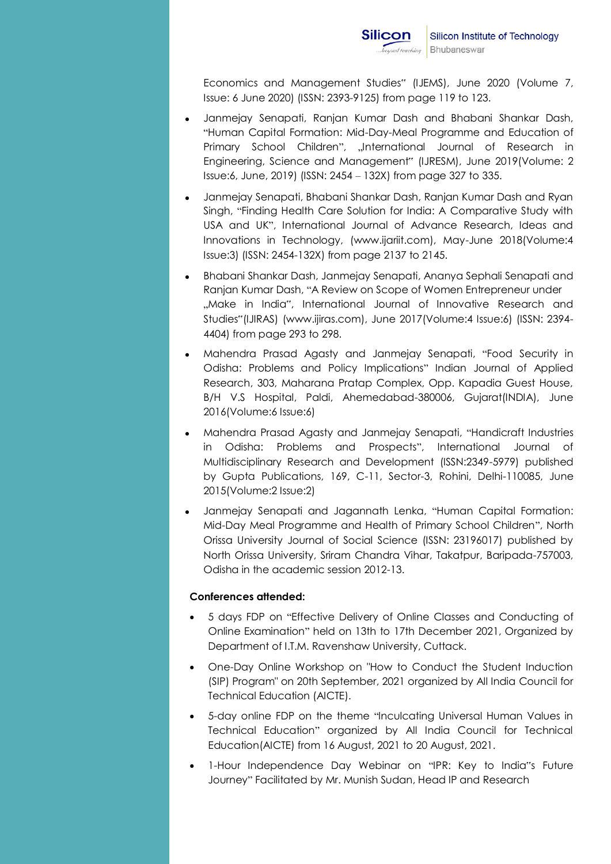Economics and Management Studies" (IJEMS), June 2020 (Volume 7, Issue: 6 June 2020) (ISSN: 2393-9125) from page 119 to 123.

- Janmejay Senapati, Ranjan Kumar Dash and Bhabani Shankar Dash, "Human Capital Formation: Mid-Day-Meal Programme and Education of Primary School Children", "International Journal of Research in Engineering, Science and Management" (IJRESM), June 2019(Volume: 2 Issue:6, June, 2019) (ISSN: 2454 – 132X) from page 327 to 335.
- Janmejay Senapati, Bhabani Shankar Dash, Ranjan Kumar Dash and Ryan Singh, "Finding Health Care Solution for India: A Comparative Study with USA and UK", International Journal of Advance Research, Ideas and Innovations in Technology, (www.ijariit.com), May-June 2018(Volume:4 Issue:3) (ISSN: 2454-132X) from page 2137 to 2145.
- Bhabani Shankar Dash, Janmejay Senapati, Ananya Sephali Senapati and Ranjan Kumar Dash, "A Review on Scope of Women Entrepreneur under "Make in India", International Journal of Innovative Research and Studies"(IJIRAS) (www.ijiras.com), June 2017(Volume:4 Issue:6) (ISSN: 2394- 4404) from page 293 to 298.
- Mahendra Prasad Agasty and Janmejay Senapati, "Food Security in Odisha: Problems and Policy Implications" Indian Journal of Applied Research, 303, Maharana Pratap Complex, Opp. Kapadia Guest House, B/H V.S Hospital, Paldi, Ahemedabad-380006, Gujarat(INDIA), June 2016(Volume:6 Issue:6)
- Mahendra Prasad Agasty and Janmejay Senapati, "Handicraft Industries in Odisha: Problems and Prospects", International Journal of Multidisciplinary Research and Development (ISSN:2349-5979) published by Gupta Publications, 169, C-11, Sector-3, Rohini, Delhi-110085, June 2015(Volume:2 Issue:2)
- Janmejay Senapati and Jagannath Lenka, "Human Capital Formation: Mid-Day Meal Programme and Health of Primary School Children", North Orissa University Journal of Social Science (ISSN: 23196017) published by North Orissa University, Sriram Chandra Vihar, Takatpur, Baripada-757003, Odisha in the academic session 2012-13.

## **Conferences attended:**

- 5 days FDP on "Effective Delivery of Online Classes and Conducting of Online Examination" held on 13th to 17th December 2021, Organized by Department of I.T.M. Ravenshaw University, Cuttack.
- One-Day Online Workshop on "How to Conduct the Student Induction (SIP) Program" on 20th September, 2021 organized by All India Council for Technical Education (AICTE).
- 5-day online FDP on the theme "Inculcating Universal Human Values in Technical Education" organized by All India Council for Technical Education(AICTE) from 16 August, 2021 to 20 August, 2021.
- 1-Hour Independence Day Webinar on "IPR: Key to India"s Future Journey" Facilitated by Mr. Munish Sudan, Head IP and Research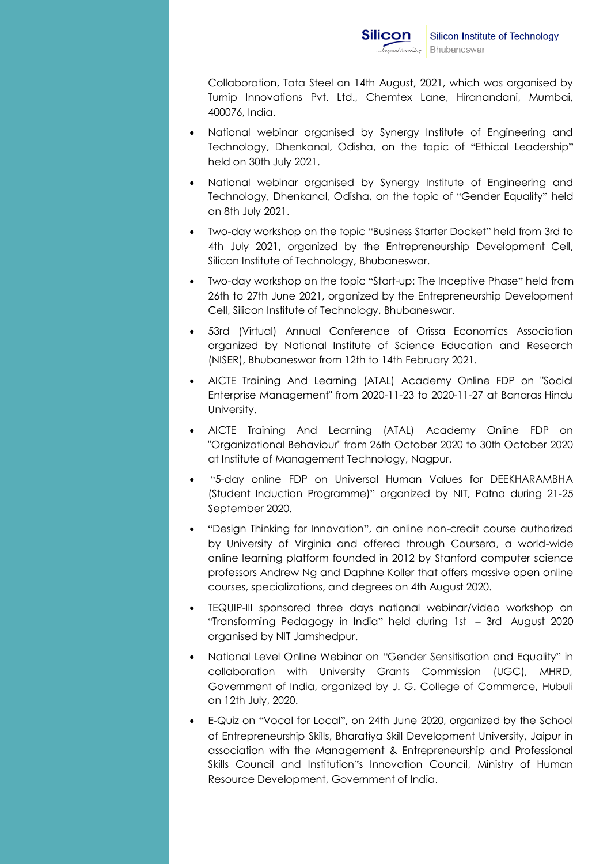Collaboration, Tata Steel on 14th August, 2021, which was organised by Turnip Innovations Pvt. Ltd., Chemtex Lane, Hiranandani, Mumbai, 400076, India.

- National webinar organised by Synergy Institute of Engineering and Technology, Dhenkanal, Odisha, on the topic of "Ethical Leadership" held on 30th July 2021.
- National webinar organised by Synergy Institute of Engineering and Technology, Dhenkanal, Odisha, on the topic of "Gender Equality" held on 8th July 2021.
- Two-day workshop on the topic "Business Starter Docket" held from 3rd to 4th July 2021, organized by the Entrepreneurship Development Cell, Silicon Institute of Technology, Bhubaneswar.
- Two-day workshop on the topic "Start-up: The Inceptive Phase" held from 26th to 27th June 2021, organized by the Entrepreneurship Development Cell, Silicon Institute of Technology, Bhubaneswar.
- 53rd (Virtual) Annual Conference of Orissa Economics Association organized by National Institute of Science Education and Research (NISER), Bhubaneswar from 12th to 14th February 2021.
- AICTE Training And Learning (ATAL) Academy Online FDP on "Social Enterprise Management" from 2020-11-23 to 2020-11-27 at Banaras Hindu University.
- AICTE Training And Learning (ATAL) Academy Online FDP on "Organizational Behaviour" from 26th October 2020 to 30th October 2020 at Institute of Management Technology, Nagpur.
- "5-day online FDP on Universal Human Values for DEEKHARAMBHA (Student Induction Programme)" organized by NIT, Patna during 21-25 September 2020.
- "Design Thinking for Innovation", an online non-credit course authorized by University of Virginia and offered through Coursera, a world-wide online learning platform founded in 2012 by Stanford computer science professors Andrew Ng and Daphne Koller that offers massive open online courses, specializations, and degrees on 4th August 2020.
- TEQUIP-III sponsored three days national webinar/video workshop on "Transforming Pedagogy in India" held during 1st – 3rd August 2020 organised by NIT Jamshedpur.
- National Level Online Webinar on "Gender Sensitisation and Equality" in collaboration with University Grants Commission (UGC), MHRD, Government of India, organized by J. G. College of Commerce, Hubuli on 12th July, 2020.
- E-Quiz on "Vocal for Local", on 24th June 2020, organized by the School of Entrepreneurship Skills, Bharatiya Skill Development University, Jaipur in association with the Management & Entrepreneurship and Professional Skills Council and Institution"s Innovation Council, Ministry of Human Resource Development, Government of India.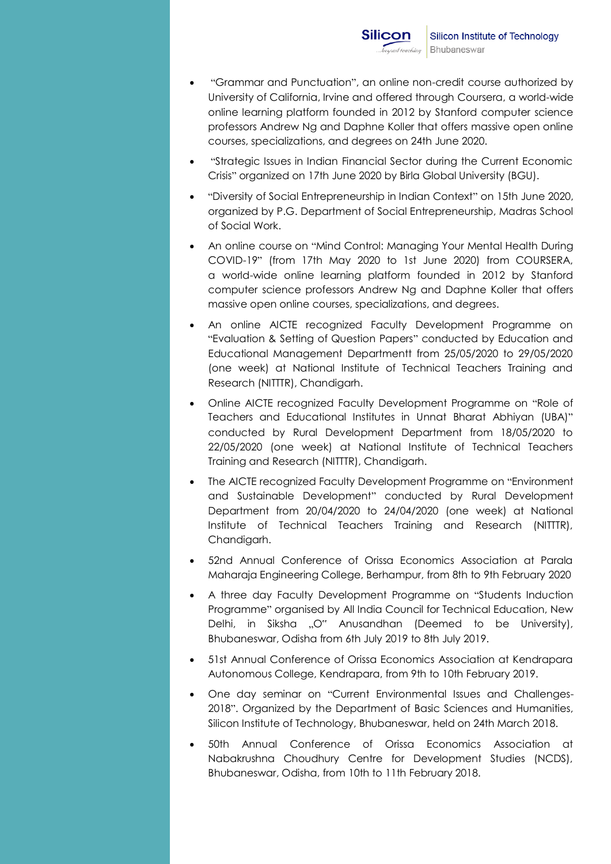- "Grammar and Punctuation", an online non-credit course authorized by University of California, Irvine and offered through Coursera, a world-wide online learning platform founded in 2012 by Stanford computer science professors Andrew Ng and Daphne Koller that offers massive open online courses, specializations, and degrees on 24th June 2020.
- "Strategic Issues in Indian Financial Sector during the Current Economic Crisis" organized on 17th June 2020 by Birla Global University (BGU).
- "Diversity of Social Entrepreneurship in Indian Context" on 15th June 2020, organized by P.G. Department of Social Entrepreneurship, Madras School of Social Work.
- An online course on "Mind Control: Managing Your Mental Health During COVID-19" (from 17th May 2020 to 1st June 2020) from COURSERA, a world-wide online learning platform founded in 2012 by Stanford computer science professors Andrew Ng and Daphne Koller that offers massive open online courses, specializations, and degrees.
- An online AICTE recognized Faculty Development Programme on "Evaluation & Setting of Question Papers" conducted by Education and Educational Management Departmentt from 25/05/2020 to 29/05/2020 (one week) at National Institute of Technical Teachers Training and Research (NITTTR), Chandigarh.
- Online AICTE recognized Faculty Development Programme on "Role of Teachers and Educational Institutes in Unnat Bharat Abhiyan (UBA)" conducted by Rural Development Department from 18/05/2020 to 22/05/2020 (one week) at National Institute of Technical Teachers Training and Research (NITTTR), Chandigarh.
- The AICTE recognized Faculty Development Programme on "Environment and Sustainable Development" conducted by Rural Development Department from 20/04/2020 to 24/04/2020 (one week) at National Institute of Technical Teachers Training and Research (NITTTR), Chandigarh.
- 52nd Annual Conference of Orissa Economics Association at Parala Maharaja Engineering College, Berhampur, from 8th to 9th February 2020
- A three day Faculty Development Programme on "Students Induction Programme" organised by All India Council for Technical Education, New Delhi, in Siksha "O" Anusandhan (Deemed to be University), Bhubaneswar, Odisha from 6th July 2019 to 8th July 2019.
- 51st Annual Conference of Orissa Economics Association at Kendrapara Autonomous College, Kendrapara, from 9th to 10th February 2019.
- One day seminar on "Current Environmental Issues and Challenges-2018". Organized by the Department of Basic Sciences and Humanities, Silicon Institute of Technology, Bhubaneswar, held on 24th March 2018.
- 50th Annual Conference of Orissa Economics Association at Nabakrushna Choudhury Centre for Development Studies (NCDS), Bhubaneswar, Odisha, from 10th to 11th February 2018.